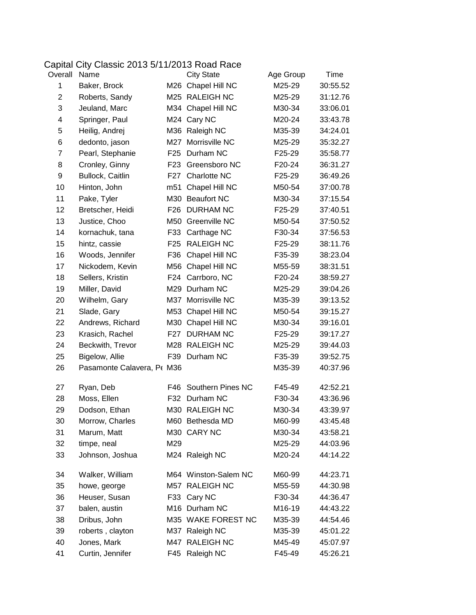## Capital City Classic 2013 5/11/2013 Road Race<br>Overall Name City State

| Overall      | Name                       |                 | <b>City State</b>    | Age Group | Time     |
|--------------|----------------------------|-----------------|----------------------|-----------|----------|
| 1            | Baker, Brock               |                 | M26 Chapel Hill NC   | M25-29    | 30:55.52 |
| $\mathbf{2}$ | Roberts, Sandy             |                 | M25 RALEIGH NC       | M25-29    | 31:12.76 |
| 3            | Jeuland, Marc              |                 | M34 Chapel Hill NC   | M30-34    | 33:06.01 |
| 4            | Springer, Paul             |                 | M24 Cary NC          | M20-24    | 33:43.78 |
| 5            | Heilig, Andrej             |                 | M36 Raleigh NC       | M35-39    | 34:24.01 |
| 6            | dedonto, jason             | M27             | Morrisville NC       | M25-29    | 35:32.27 |
| 7            | Pearl, Stephanie           |                 | F25 Durham NC        | F25-29    | 35:58.77 |
| 8            | Cronley, Ginny             | F23             | Greensboro NC        | F20-24    | 36:31.27 |
| 9            | Bullock, Caitlin           |                 | F27 Charlotte NC     | F25-29    | 36:49.26 |
| 10           | Hinton, John               | m51             | Chapel Hill NC       | M50-54    | 37:00.78 |
| 11           | Pake, Tyler                |                 | M30 Beaufort NC      | M30-34    | 37:15.54 |
| 12           | Bretscher, Heidi           |                 | F26 DURHAM NC        | F25-29    | 37:40.51 |
| 13           | Justice, Choo              |                 | M50 Greenville NC    | M50-54    | 37:50.52 |
| 14           | kornachuk, tana            |                 | F33 Carthage NC      | F30-34    | 37:56.53 |
| 15           | hintz, cassie              | F <sub>25</sub> | <b>RALEIGH NC</b>    | F25-29    | 38:11.76 |
| 16           | Woods, Jennifer            | F36             | Chapel Hill NC       | F35-39    | 38:23.04 |
| 17           | Nickodem, Kevin            |                 | M56 Chapel Hill NC   | M55-59    | 38:31.51 |
| 18           | Sellers, Kristin           |                 | F24 Carrboro, NC     | F20-24    | 38:59.27 |
| 19           | Miller, David              |                 | M29 Durham NC        | M25-29    | 39:04.26 |
| 20           | Wilhelm, Gary              |                 | M37 Morrisville NC   | M35-39    | 39:13.52 |
| 21           | Slade, Gary                |                 | M53 Chapel Hill NC   | M50-54    | 39:15.27 |
| 22           | Andrews, Richard           |                 | M30 Chapel Hill NC   | M30-34    | 39:16.01 |
| 23           | Krasich, Rachel            |                 | F27 DURHAM NC        | F25-29    | 39:17.27 |
| 24           | Beckwith, Trevor           |                 | M28 RALEIGH NC       | M25-29    | 39:44.03 |
| 25           | Bigelow, Allie             |                 | F39 Durham NC        | F35-39    | 39:52.75 |
| 26           | Pasamonte Calavera, Pt M36 |                 |                      | M35-39    | 40:37.96 |
| 27           | Ryan, Deb                  | F46             | Southern Pines NC    | F45-49    | 42:52.21 |
| 28           | Moss, Ellen                | F32             | Durham NC            | F30-34    | 43:36.96 |
| 29           | Dodson, Ethan              |                 | M30 RALEIGH NC       | M30-34    | 43:39.97 |
| 30           | Morrow, Charles            |                 | M60 Bethesda MD      | M60-99    | 43:45.48 |
| 31           | Marum, Matt                |                 | M30 CARY NC          | M30-34    | 43:58.21 |
| 32           | timpe, neal                | M29             |                      | M25-29    | 44:03.96 |
| 33           | Johnson, Joshua            |                 | M24 Raleigh NC       | M20-24    | 44:14.22 |
| 34           | Walker, William            |                 | M64 Winston-Salem NC | M60-99    | 44:23.71 |
| 35           | howe, george               |                 | M57 RALEIGH NC       | M55-59    | 44:30.98 |
| 36           | Heuser, Susan              |                 | F33 Cary NC          | F30-34    | 44:36.47 |
| 37           | balen, austin              |                 | M16 Durham NC        | M16-19    | 44:43.22 |
| 38           | Dribus, John               |                 | M35 WAKE FOREST NC   | M35-39    | 44:54.46 |
| 39           | roberts, clayton           |                 | M37 Raleigh NC       | M35-39    | 45:01.22 |
| 40           | Jones, Mark                |                 | M47 RALEIGH NC       | M45-49    | 45:07.97 |
| 41           | Curtin, Jennifer           |                 | F45 Raleigh NC       | F45-49    | 45:26.21 |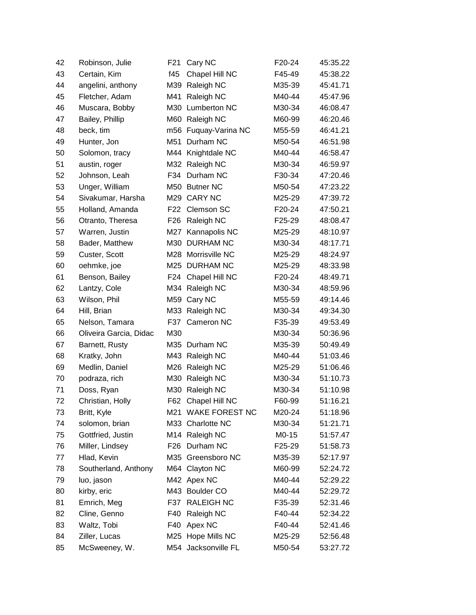| 42 | Robinson, Julie        | F21 | Cary NC             | F20-24 | 45:35.22 |
|----|------------------------|-----|---------------------|--------|----------|
| 43 | Certain, Kim           | f45 | Chapel Hill NC      | F45-49 | 45:38.22 |
| 44 | angelini, anthony      |     | M39 Raleigh NC      | M35-39 | 45:41.71 |
| 45 | Fletcher, Adam         | M41 | Raleigh NC          | M40-44 | 45:47.96 |
| 46 | Muscara, Bobby         |     | M30 Lumberton NC    | M30-34 | 46:08.47 |
| 47 | Bailey, Phillip        | M60 | Raleigh NC          | M60-99 | 46:20.46 |
| 48 | beck, tim              | m56 | Fuquay-Varina NC    | M55-59 | 46:41.21 |
| 49 | Hunter, Jon            | M51 | Durham NC           | M50-54 | 46:51.98 |
| 50 | Solomon, tracy         |     | M44 Knightdale NC   | M40-44 | 46:58.47 |
| 51 | austin, roger          |     | M32 Raleigh NC      | M30-34 | 46:59.97 |
| 52 | Johnson, Leah          | F34 | Durham NC           | F30-34 | 47:20.46 |
| 53 | Unger, William         |     | M50 Butner NC       | M50-54 | 47:23.22 |
| 54 | Sivakumar, Harsha      |     | M29 CARY NC         | M25-29 | 47:39.72 |
| 55 | Holland, Amanda        | F22 | Clemson SC          | F20-24 | 47:50.21 |
| 56 | Otranto, Theresa       | F26 | Raleigh NC          | F25-29 | 48:08.47 |
| 57 | Warren, Justin         | M27 | Kannapolis NC       | M25-29 | 48:10.97 |
| 58 | Bader, Matthew         |     | M30 DURHAM NC       | M30-34 | 48:17.71 |
| 59 | Custer, Scott          |     | M28 Morrisville NC  | M25-29 | 48:24.97 |
| 60 | oehmke, joe            |     | M25 DURHAM NC       | M25-29 | 48:33.98 |
| 61 | Benson, Bailey         | F24 | Chapel Hill NC      | F20-24 | 48:49.71 |
| 62 | Lantzy, Cole           |     | M34 Raleigh NC      | M30-34 | 48:59.96 |
| 63 | Wilson, Phil           |     | M59 Cary NC         | M55-59 | 49:14.46 |
| 64 | Hill, Brian            |     | M33 Raleigh NC      | M30-34 | 49:34.30 |
| 65 | Nelson, Tamara         | F37 | Cameron NC          | F35-39 | 49:53.49 |
| 66 | Oliveira Garcia, Didac | M30 |                     | M30-34 | 50:36.96 |
| 67 | Barnett, Rusty         |     | M35 Durham NC       | M35-39 | 50:49.49 |
| 68 | Kratky, John           |     | M43 Raleigh NC      | M40-44 | 51:03.46 |
| 69 | Medlin, Daniel         | M26 | Raleigh NC          | M25-29 | 51:06.46 |
| 70 | podraza, rich          |     | M30 Raleigh NC      | M30-34 | 51:10.73 |
| 71 | Doss, Ryan             | M30 | Raleigh NC          | M30-34 | 51:10.98 |
| 72 | Christian, Holly       | F62 | Chapel Hill NC      | F60-99 | 51:16.21 |
| 73 | Britt, Kyle            |     | M21 WAKE FOREST NC  | M20-24 | 51:18.96 |
| 74 | solomon, brian         |     | M33 Charlotte NC    | M30-34 | 51:21.71 |
| 75 | Gottfried, Justin      |     | M14 Raleigh NC      | M0-15  | 51:57.47 |
| 76 | Miller, Lindsey        |     | F26 Durham NC       | F25-29 | 51:58.73 |
| 77 | Hlad, Kevin            |     | M35 Greensboro NC   | M35-39 | 52:17.97 |
| 78 | Southerland, Anthony   |     | M64 Clayton NC      | M60-99 | 52:24.72 |
| 79 | luo, jason             |     | M42 Apex NC         | M40-44 | 52:29.22 |
| 80 | kirby, eric            |     | M43 Boulder CO      | M40-44 | 52:29.72 |
| 81 | Emrich, Meg            | F37 | <b>RALEIGH NC</b>   | F35-39 | 52:31.46 |
| 82 | Cline, Genno           | F40 | Raleigh NC          | F40-44 | 52:34.22 |
| 83 | Waltz, Tobi            |     | F40 Apex NC         | F40-44 | 52:41.46 |
| 84 | Ziller, Lucas          |     | M25 Hope Mills NC   | M25-29 | 52:56.48 |
| 85 | McSweeney, W.          |     | M54 Jacksonville FL | M50-54 | 53:27.72 |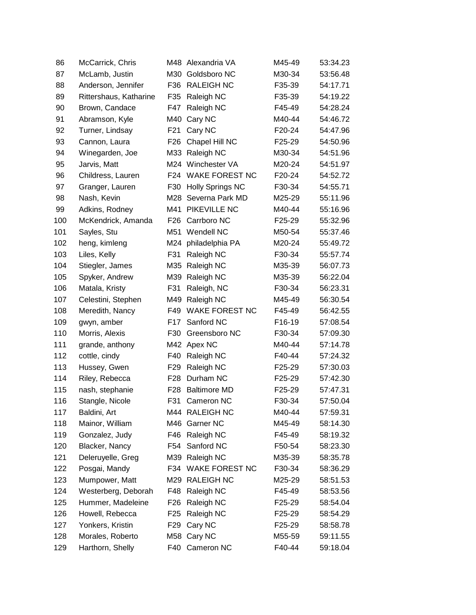| 86  | McCarrick, Chris       |                 | M48 Alexandria VA       | M45-49 | 53:34.23 |
|-----|------------------------|-----------------|-------------------------|--------|----------|
| 87  | McLamb, Justin         | M30             | Goldsboro NC            | M30-34 | 53:56.48 |
| 88  | Anderson, Jennifer     | F36             | <b>RALEIGH NC</b>       | F35-39 | 54:17.71 |
| 89  | Rittershaus, Katharine | F35             | Raleigh NC              | F35-39 | 54:19.22 |
| 90  | Brown, Candace         | F47             | Raleigh NC              | F45-49 | 54:28.24 |
| 91  | Abramson, Kyle         | M40             | Cary NC                 | M40-44 | 54:46.72 |
| 92  | Turner, Lindsay        | F <sub>21</sub> | Cary NC                 | F20-24 | 54:47.96 |
| 93  | Cannon, Laura          | F <sub>26</sub> | Chapel Hill NC          | F25-29 | 54:50.96 |
| 94  | Winegarden, Joe        | M33             | Raleigh NC              | M30-34 | 54:51.96 |
| 95  | Jarvis, Matt           |                 | M24 Winchester VA       | M20-24 | 54:51.97 |
| 96  | Childress, Lauren      | F24             | <b>WAKE FOREST NC</b>   | F20-24 | 54:52.72 |
| 97  | Granger, Lauren        | F30             | <b>Holly Springs NC</b> | F30-34 | 54:55.71 |
| 98  | Nash, Kevin            | M28             | Severna Park MD         | M25-29 | 55:11.96 |
| 99  | Adkins, Rodney         | M41             | PIKEVILLE NC            | M40-44 | 55:16.96 |
| 100 | McKendrick, Amanda     | F26             | Carrboro NC             | F25-29 | 55:32.96 |
| 101 | Sayles, Stu            | M51             | Wendell NC              | M50-54 | 55:37.46 |
| 102 | heng, kimleng          | M24             | philadelphia PA         | M20-24 | 55:49.72 |
| 103 | Liles, Kelly           | F31             | Raleigh NC              | F30-34 | 55:57.74 |
| 104 | Stiegler, James        | M35             | Raleigh NC              | M35-39 | 56:07.73 |
| 105 | Spyker, Andrew         | M39             | Raleigh NC              | M35-39 | 56:22.04 |
| 106 | Matala, Kristy         | F31             | Raleigh, NC             | F30-34 | 56:23.31 |
| 107 | Celestini, Stephen     | M49             | Raleigh NC              | M45-49 | 56:30.54 |
| 108 | Meredith, Nancy        | F49             | <b>WAKE FOREST NC</b>   | F45-49 | 56:42.55 |
| 109 | gwyn, amber            | F17             | Sanford NC              | F16-19 | 57:08.54 |
| 110 | Morris, Alexis         | F30             | Greensboro NC           | F30-34 | 57:09.30 |
| 111 | grande, anthony        |                 | M42 Apex NC             | M40-44 | 57:14.78 |
| 112 | cottle, cindy          | F40             | Raleigh NC              | F40-44 | 57:24.32 |
| 113 | Hussey, Gwen           | F29             | Raleigh NC              | F25-29 | 57:30.03 |
| 114 | Riley, Rebecca         | F <sub>28</sub> | Durham NC               | F25-29 | 57:42.30 |
| 115 | nash, stephanie        | F28             | <b>Baltimore MD</b>     | F25-29 | 57:47.31 |
| 116 | Stangle, Nicole        | F31             | Cameron NC              | F30-34 | 57:50.04 |
| 117 | Baldini, Art           |                 | M44 RALEIGH NC          | M40-44 | 57:59.31 |
| 118 | Mainor, William        |                 | M46 Garner NC           | M45-49 | 58:14.30 |
| 119 | Gonzalez, Judy         | F46             | Raleigh NC              | F45-49 | 58:19.32 |
| 120 | Blacker, Nancy         | F54             | Sanford NC              | F50-54 | 58:23.30 |
| 121 | Deleruyelle, Greg      | M39             | Raleigh NC              | M35-39 | 58:35.78 |
| 122 | Posgai, Mandy          | F34             | WAKE FOREST NC          | F30-34 | 58:36.29 |
| 123 | Mumpower, Matt         | M29             | <b>RALEIGH NC</b>       | M25-29 | 58:51.53 |
| 124 | Westerberg, Deborah    | F48             | Raleigh NC              | F45-49 | 58:53.56 |
| 125 | Hummer, Madeleine      | F <sub>26</sub> | Raleigh NC              | F25-29 | 58:54.04 |
| 126 | Howell, Rebecca        | F25             | Raleigh NC              | F25-29 | 58:54.29 |
| 127 | Yonkers, Kristin       | F <sub>29</sub> | Cary NC                 | F25-29 | 58:58.78 |
| 128 | Morales, Roberto       |                 | M58 Cary NC             | M55-59 | 59:11.55 |
| 129 | Harthorn, Shelly       | F40             | Cameron NC              | F40-44 | 59:18.04 |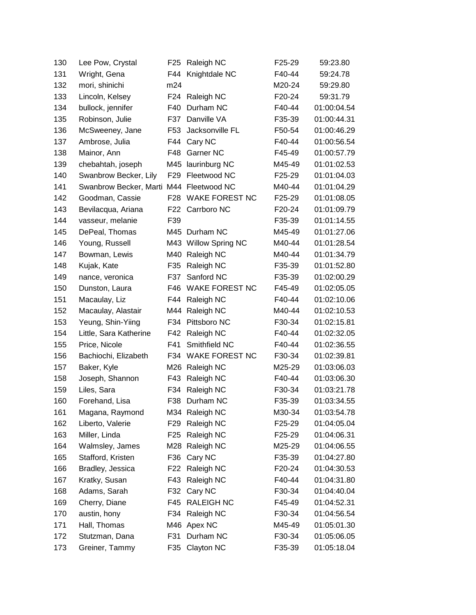| 130 | Lee Pow, Crystal                        | F <sub>25</sub> | Raleigh NC            | F25-29 | 59:23.80    |
|-----|-----------------------------------------|-----------------|-----------------------|--------|-------------|
| 131 | Wright, Gena                            | F44             | Knightdale NC         | F40-44 | 59:24.78    |
| 132 | mori, shinichi                          | m24             |                       | M20-24 | 59:29.80    |
| 133 | Lincoln, Kelsey                         | F <sub>24</sub> | Raleigh NC            | F20-24 | 59:31.79    |
| 134 | bullock, jennifer                       | F40             | Durham NC             | F40-44 | 01:00:04.54 |
| 135 | Robinson, Julie                         | F37             | Danville VA           | F35-39 | 01:00:44.31 |
| 136 | McSweeney, Jane                         | F <sub>53</sub> | Jacksonville FL       | F50-54 | 01:00:46.29 |
| 137 | Ambrose, Julia                          | F44             | Cary NC               | F40-44 | 01:00:56.54 |
| 138 | Mainor, Ann                             | F48             | Garner NC             | F45-49 | 01:00:57.79 |
| 139 | chebahtah, joseph                       |                 | M45 laurinburg NC     | M45-49 | 01:01:02.53 |
| 140 | Swanbrow Becker, Lily                   | F <sub>29</sub> | Fleetwood NC          | F25-29 | 01:01:04.03 |
| 141 | Swanbrow Becker, Marti M44 Fleetwood NC |                 |                       | M40-44 | 01:01:04.29 |
| 142 | Goodman, Cassie                         | F <sub>28</sub> | <b>WAKE FOREST NC</b> | F25-29 | 01:01:08.05 |
| 143 | Bevilacqua, Ariana                      | F22             | Carrboro NC           | F20-24 | 01:01:09.79 |
| 144 | vasseur, melanie                        | F39             |                       | F35-39 | 01:01:14.55 |
| 145 | DePeal, Thomas                          |                 | M45 Durham NC         | M45-49 | 01:01:27.06 |
| 146 | Young, Russell                          |                 | M43 Willow Spring NC  | M40-44 | 01:01:28.54 |
| 147 | Bowman, Lewis                           | M40             | Raleigh NC            | M40-44 | 01:01:34.79 |
| 148 | Kujak, Kate                             | F35             | Raleigh NC            | F35-39 | 01:01:52.80 |
| 149 | nance, veronica                         | F37             | Sanford NC            | F35-39 | 01:02:00.29 |
| 150 | Dunston, Laura                          | F46             | <b>WAKE FOREST NC</b> | F45-49 | 01:02:05.05 |
| 151 | Macaulay, Liz                           | F44             | Raleigh NC            | F40-44 | 01:02:10.06 |
| 152 | Macaulay, Alastair                      | M44             | Raleigh NC            | M40-44 | 01:02:10.53 |
| 153 | Yeung, Shin-Yiing                       | F34             | Pittsboro NC          | F30-34 | 01:02:15.81 |
| 154 | Little, Sara Katherine                  | F42             | Raleigh NC            | F40-44 | 01:02:32.05 |
| 155 | Price, Nicole                           | F41             | Smithfield NC         | F40-44 | 01:02:36.55 |
| 156 | Bachiochi, Elizabeth                    | F34             | <b>WAKE FOREST NC</b> | F30-34 | 01:02:39.81 |
| 157 | Baker, Kyle                             | M26             | Raleigh NC            | M25-29 | 01:03:06.03 |
| 158 | Joseph, Shannon                         | F43             | Raleigh NC            | F40-44 | 01:03:06.30 |
| 159 | Liles, Sara                             | F34             | Raleigh NC            | F30-34 | 01:03:21.78 |
| 160 | Forehand, Lisa                          | F38             | Durham NC             | F35-39 | 01:03:34.55 |
| 161 | Magana, Raymond                         |                 | M34 Raleigh NC        | M30-34 | 01:03:54.78 |
| 162 | Liberto, Valerie                        | F <sub>29</sub> | Raleigh NC            | F25-29 | 01:04:05.04 |
| 163 | Miller, Linda                           | F <sub>25</sub> | Raleigh NC            | F25-29 | 01:04:06.31 |
| 164 | Walmsley, James                         |                 | M28 Raleigh NC        | M25-29 | 01:04:06.55 |
| 165 | Stafford, Kristen                       | F36             | Cary NC               | F35-39 | 01:04:27.80 |
| 166 | Bradley, Jessica                        | F <sub>22</sub> | Raleigh NC            | F20-24 | 01:04:30.53 |
| 167 | Kratky, Susan                           | F43             | Raleigh NC            | F40-44 | 01:04:31.80 |
| 168 | Adams, Sarah                            | F32             | Cary NC               | F30-34 | 01:04:40.04 |
| 169 | Cherry, Diane                           | F45             | <b>RALEIGH NC</b>     | F45-49 | 01:04:52.31 |
| 170 | austin, hony                            | F34             | Raleigh NC            | F30-34 | 01:04:56.54 |
| 171 | Hall, Thomas                            | M46             | Apex NC               | M45-49 | 01:05:01.30 |
| 172 | Stutzman, Dana                          | F31             | Durham NC             | F30-34 | 01:05:06.05 |
| 173 | Greiner, Tammy                          | F35             | Clayton NC            | F35-39 | 01:05:18.04 |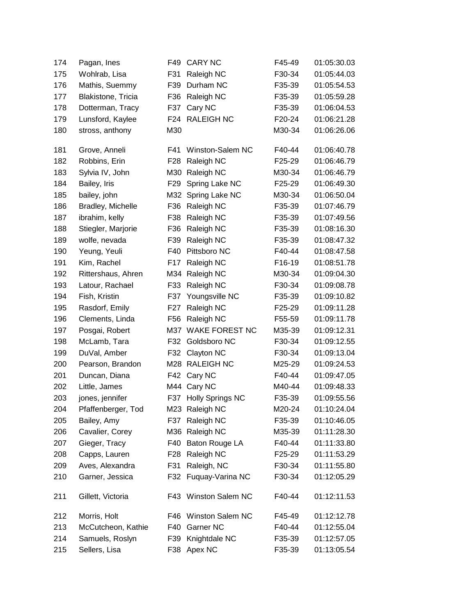| 174 | Pagan, Ines        | F49             | <b>CARY NC</b>          | F45-49 | 01:05:30.03 |
|-----|--------------------|-----------------|-------------------------|--------|-------------|
| 175 | Wohlrab, Lisa      | F31             | Raleigh NC              | F30-34 | 01:05:44.03 |
| 176 | Mathis, Suemmy     | F39             | Durham NC               | F35-39 | 01:05:54.53 |
| 177 | Blakistone, Tricia | F36             | Raleigh NC              | F35-39 | 01:05:59.28 |
| 178 | Dotterman, Tracy   | F37             | Cary NC                 | F35-39 | 01:06:04.53 |
| 179 | Lunsford, Kaylee   |                 | F24 RALEIGH NC          | F20-24 | 01:06:21.28 |
| 180 | stross, anthony    | M30             |                         | M30-34 | 01:06:26.06 |
| 181 | Grove, Anneli      | F41             | Winston-Salem NC        | F40-44 | 01:06:40.78 |
| 182 | Robbins, Erin      | F28             | Raleigh NC              | F25-29 | 01:06:46.79 |
| 183 | Sylvia IV, John    |                 | M30 Raleigh NC          | M30-34 | 01:06:46.79 |
| 184 | Bailey, Iris       | F29             | Spring Lake NC          | F25-29 | 01:06:49.30 |
| 185 | bailey, john       |                 | M32 Spring Lake NC      | M30-34 | 01:06:50.04 |
| 186 | Bradley, Michelle  | F36             | Raleigh NC              | F35-39 | 01:07:46.79 |
| 187 | ibrahim, kelly     | F38             | Raleigh NC              | F35-39 | 01:07:49.56 |
| 188 | Stiegler, Marjorie | F36             | Raleigh NC              | F35-39 | 01:08:16.30 |
| 189 | wolfe, nevada      | F39             | Raleigh NC              | F35-39 | 01:08:47.32 |
| 190 | Yeung, Yeuli       | F40             | Pittsboro NC            | F40-44 | 01:08:47.58 |
| 191 | Kim, Rachel        | F <sub>17</sub> | Raleigh NC              | F16-19 | 01:08:51.78 |
| 192 | Rittershaus, Ahren | M34             | Raleigh NC              | M30-34 | 01:09:04.30 |
| 193 | Latour, Rachael    | F33             | Raleigh NC              | F30-34 | 01:09:08.78 |
| 194 | Fish, Kristin      | F37             | Youngsville NC          | F35-39 | 01:09:10.82 |
| 195 | Rasdorf, Emily     | F27             | Raleigh NC              | F25-29 | 01:09:11.28 |
| 196 | Clements, Linda    | F56             | Raleigh NC              | F55-59 | 01:09:11.78 |
| 197 | Posgai, Robert     |                 | M37 WAKE FOREST NC      | M35-39 | 01:09:12.31 |
| 198 | McLamb, Tara       | F32             | Goldsboro NC            | F30-34 | 01:09:12.55 |
| 199 | DuVal, Amber       | F32             | Clayton NC              | F30-34 | 01:09:13.04 |
| 200 | Pearson, Brandon   |                 | M28 RALEIGH NC          | M25-29 | 01:09:24.53 |
| 201 | Duncan, Diana      | F42             | Cary NC                 | F40-44 | 01:09:47.05 |
| 202 | Little, James      |                 | M44 Cary NC             | M40-44 | 01:09:48.33 |
| 203 | jones, jennifer    | F37             | <b>Holly Springs NC</b> | F35-39 | 01:09:55.56 |
| 204 | Pfaffenberger, Tod |                 | M23 Raleigh NC          | M20-24 | 01:10:24.04 |
| 205 | Bailey, Amy        | F37             | Raleigh NC              | F35-39 | 01:10:46.05 |
| 206 | Cavalier, Corey    |                 | M36 Raleigh NC          | M35-39 | 01:11:28.30 |
| 207 | Gieger, Tracy      | F40             | Baton Rouge LA          | F40-44 | 01:11:33.80 |
| 208 | Capps, Lauren      | F28             | Raleigh NC              | F25-29 | 01:11:53.29 |
| 209 | Aves, Alexandra    | F31             | Raleigh, NC             | F30-34 | 01:11:55.80 |
| 210 | Garner, Jessica    |                 | F32 Fuquay-Varina NC    | F30-34 | 01:12:05.29 |
| 211 | Gillett, Victoria  |                 | F43 Winston Salem NC    | F40-44 | 01:12:11.53 |
| 212 | Morris, Holt       |                 | F46 Winston Salem NC    | F45-49 | 01:12:12.78 |
| 213 | McCutcheon, Kathie | F40             | Garner NC               | F40-44 | 01:12:55.04 |
| 214 | Samuels, Roslyn    | F39             | Knightdale NC           | F35-39 | 01:12:57.05 |
| 215 | Sellers, Lisa      |                 | F38 Apex NC             | F35-39 | 01:13:05.54 |